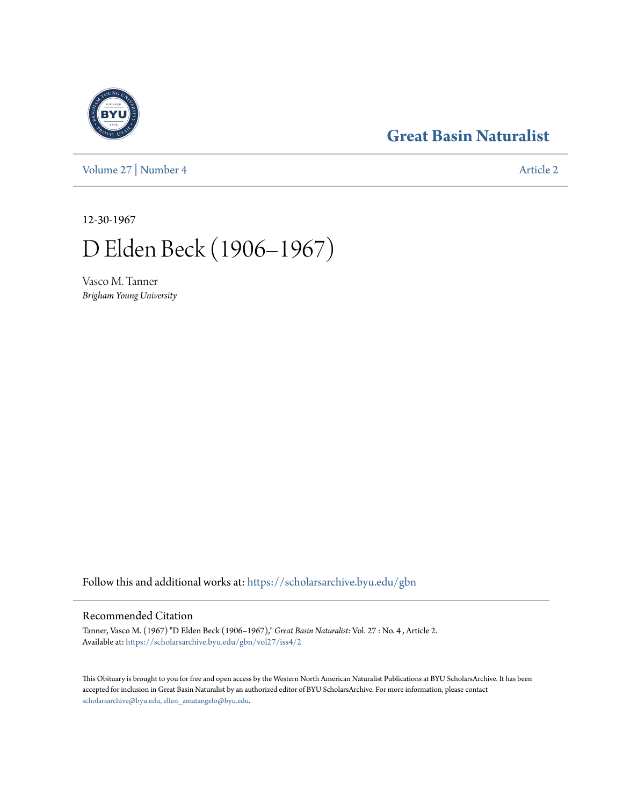**[Great Basin Naturalist](https://scholarsarchive.byu.edu/gbn?utm_source=scholarsarchive.byu.edu%2Fgbn%2Fvol27%2Fiss4%2F2&utm_medium=PDF&utm_campaign=PDFCoverPages)**

[Volume 27](https://scholarsarchive.byu.edu/gbn/vol27?utm_source=scholarsarchive.byu.edu%2Fgbn%2Fvol27%2Fiss4%2F2&utm_medium=PDF&utm_campaign=PDFCoverPages) | [Number 4](https://scholarsarchive.byu.edu/gbn/vol27/iss4?utm_source=scholarsarchive.byu.edu%2Fgbn%2Fvol27%2Fiss4%2F2&utm_medium=PDF&utm_campaign=PDFCoverPages) [Article 2](https://scholarsarchive.byu.edu/gbn/vol27/iss4/2?utm_source=scholarsarchive.byu.edu%2Fgbn%2Fvol27%2Fiss4%2F2&utm_medium=PDF&utm_campaign=PDFCoverPages)

12-30-1967

D Elden Beck (1906–1967)

Vasco M. Tanner *Brigham Young University*

Follow this and additional works at: [https://scholarsarchive.byu.edu/gbn](https://scholarsarchive.byu.edu/gbn?utm_source=scholarsarchive.byu.edu%2Fgbn%2Fvol27%2Fiss4%2F2&utm_medium=PDF&utm_campaign=PDFCoverPages)

# Recommended Citation

Tanner, Vasco M. (1967) "D Elden Beck (1906–1967)," *Great Basin Naturalist*: Vol. 27 : No. 4 , Article 2. Available at: [https://scholarsarchive.byu.edu/gbn/vol27/iss4/2](https://scholarsarchive.byu.edu/gbn/vol27/iss4/2?utm_source=scholarsarchive.byu.edu%2Fgbn%2Fvol27%2Fiss4%2F2&utm_medium=PDF&utm_campaign=PDFCoverPages)

This Obituary is brought to you for free and open access by the Western North American Naturalist Publications at BYU ScholarsArchive. It has been accepted for inclusion in Great Basin Naturalist by an authorized editor of BYU ScholarsArchive. For more information, please contact [scholarsarchive@byu.edu, ellen\\_amatangelo@byu.edu.](mailto:scholarsarchive@byu.edu,%20ellen_amatangelo@byu.edu)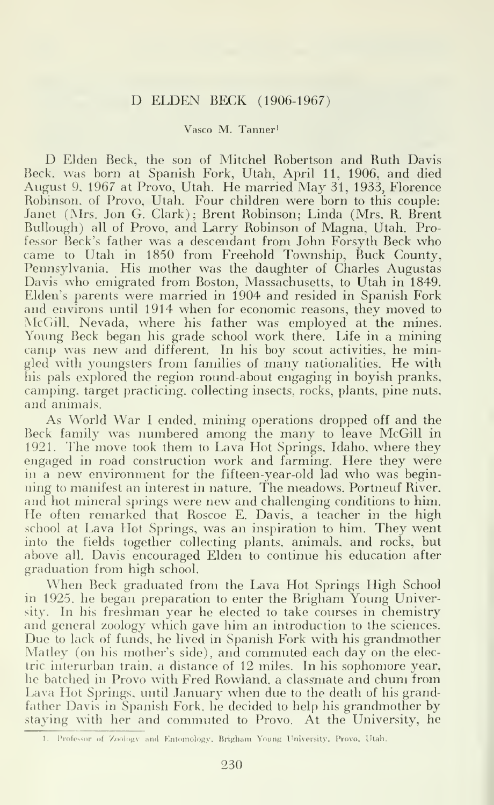# D ELDEN BECK (1906-1967)

# Vasco M. Tanner'

D Elden Beck, the son of Mitchel Robertson and Ruth Davis Beck, was born at Spanish Fork, Utah, April 11, 1906, and died August 9, 1967 at Provo, Utah. He married May 31, 1933, Florence Robinson, of Provo, Utah. Four children were born to this couple: Janet (Mrs. Jon G. Clark); Brent Robinson; Linda (Mrs. R. Brent Bullough) all of Provo, and Larry Robinson of Magna, Utah. Professor Beck's father was <sup>a</sup> descendant from John Forsyth Beck who came to Utah in 1850 from Freehold Township, Buck County, Pennsylvania. His mother was the daughter of Charles Augustas Davis who emigrated from Boston, Massachusetts, to Utah in 1849. Elden's parents were married in 1904 and resided in Spanish Fork and environs until 1914 when for economic reasons, they moved to McGill, Nevada, where his father was employed at the mines. Young Beck began his grade school work there. Life in a mining camp was new and different. In his boy scout activities, he mingled with youngsters from families of many nationalities. He with his pals explored the region round-about engaging in boyish pranks, camping, target practicing, collecting insects, rocks, plants, pine nuts, and animals.

As World War <sup>I</sup> ended, mining operations dropped off and the Beck family was numbered among the many to leave McGill in 1921. The move took them to Lava Hot Springs, Idaho, where they engaged in road construction work and farming. Here they were in <sup>a</sup> new environment for the fifteen-year-old lad who was beginning to manifest an interest in nature. The meadows, Portneuf River, and hot mineral springs were new and challenging conditions to him. He often remarked that Roscoe E. Davis, <sup>a</sup> teacher in the high school at Lava Hot Springs, was an inspiration to him. They went into the fields together collecting plants, animals, and rocks, but above all, Davis encouraged Elden to continue his education after graduation from high school.

When Beck graduated from the Lava Hot Springs High School in 1925, he began preparation to enter the Brigham Young University. In his freshman year he elected to take courses in chemistry and general zoology which gave him an introduction to the sciences. Due to lack of funds, he lived in Spanish Fork with his grandmother Matley (on his mother's side), and commuted each day on the electric interurban train, a distance of 12 miles. In his sophomore year, he batched in Provo with Fred Rowland, a classmate and chum from Lava Hot Springs, until January when due to the death of his grandfather Davis in Spanish Fork, he decided to help his grandmother by staying with her and commuted to Provo. At the University, he

<sup>1.</sup> Professor of Zoology and Entomology, Brigham Young University. Provo. Utah.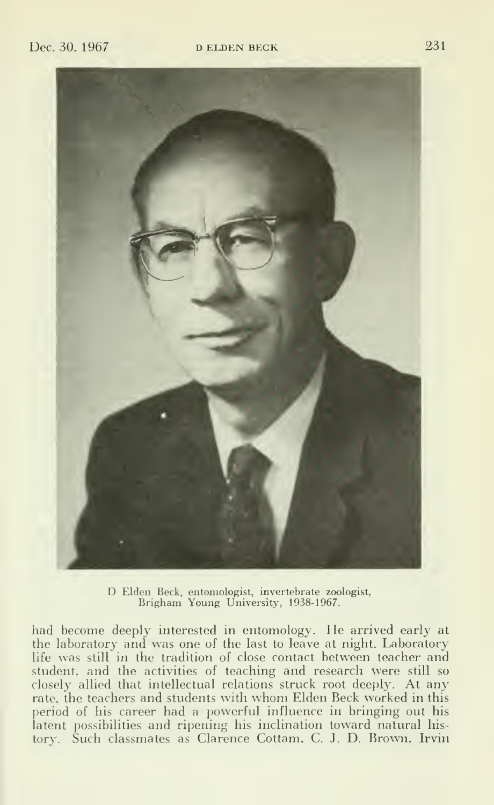

D Elden Beck, entomologist, invertebrate zoologist, Brigham Young University, 1938-1967.

had become deeply interested in entomology. He arrived early at the laboratory and was one of the last to leave at night. Laboratory life was still in the tradition of close contact between teacher and student, and the activities of teaching and research were still so closely allied that intellectual relations struck root deeply. At any rate, the teachers and students with whom Elden Beck worked in this period of his career had a powerful influence in bringing out his latent possibilities and ripening his inclination toward natural history. Such classmates as Clarence Cottam, C. J. D. Brown, Irvin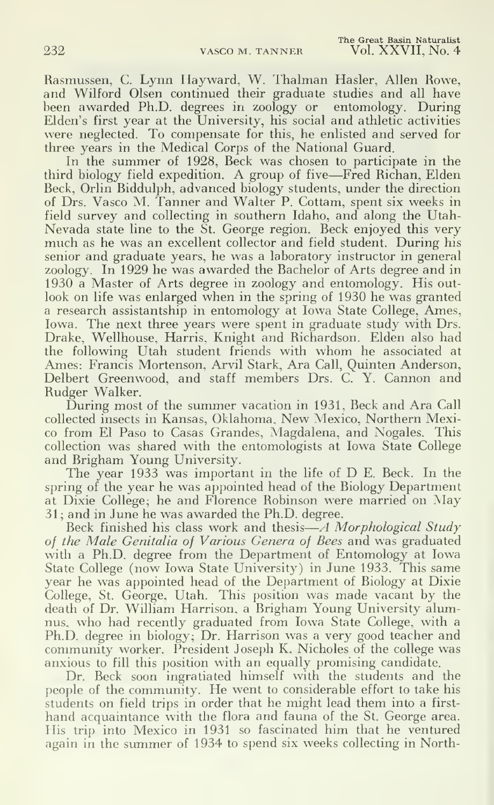Rasmussen, C. Lynn Hayward, W. Thalman Hasler, Allen Rowe, and Wilford Olsen continued their graduate studies and all have been awarded Ph.D. degrees in zoology or entomology. During Elden's first year at the University, his social and athletic activities were neglected. To compensate for this, he enlisted and served for three years in the Medical Corps of the National Guard.

In the summer of 1928, Beck was chosen to participate in the third biology field expedition. A group of five—Fred Richan, Elden Beck, Orlin Biddulph, advanced biology students, under the direction of Drs. Vasco M. Tanner and Walter P. Cottam, spent six weeks in field survey and collecting in southern Idaho, and along the Utah-Nevada state line to the St. George region. Beck enjoyed this very much as he was an excellent collector and field student. During his senior and graduate years, he was a laboratory instructor in general zoology. In 1929 he was awarded the Bachelor of Arts degree and in 1930 a Master of Arts degree in zoology and entomology. His out look on life was enlarged when in the spring of 1930 he was granted a research assistantship in entomology at Iowa State College, Ames, Iowa. The next three years were spent in graduate study with Drs. Drake, Wellhouse, Harris, Knight and Richardson. Elden also had the following Utah student friends with whom he associated at Ames: Francis Mortenson, Arvil Stark, Ara Call, Quinten Anderson, Delbert Greenwood, and staff members Drs. C. Y. Cannon and Rudger Walker.

During most of the summer vacation in 1931, Beck and Ara Call collected insects in Kansas, Oklahoma, New Mexico, Northern Mexico from El Paso to Casas Grandes, Magdalena, and Nogales. This collection was shared with the entomologists at Iowa State College and Brigham Young University.

The year <sup>1933</sup> was important in the life of D E. Beck. In the spring of the year he was appointed head of the Biology Department at Dixie College; he and Florence Robinson were married on May 31 ; and in June he was awarded the Ph.D. degree.

Beck finished his class work and thesis-A Morphological Study of the Male Genitalia of Various Genera of Bees and was graduated with a Ph.D. degree from the Department of Entomology at Iowa State College (now Iowa State University) in June 1933. This same year he was appointed head of the Department of Biology at Dixie College, St. George, Utah. This position was made vacant by the death of Dr. William Harrison, a Brigham Young University alumnus, who had recently graduated from Iowa State College, with <sup>a</sup> Ph.D. degree in biology; Dr. Harrison was a very good teacher and community worker. President Joseph K. Nicholes of the college was anxious to fill this position with an equally promising candidate.

Dr. Beck soon ingratiated himself with the students and the people of the community. He went to considerable effort to take his students on field trips in order that he might lead them into a first hand acquaintance with the flora and fauna of the St. George area. His trip into Mexico in 1931 so fascinated him that he ventured again in the summer of 1934 to spend six weeks collecting in North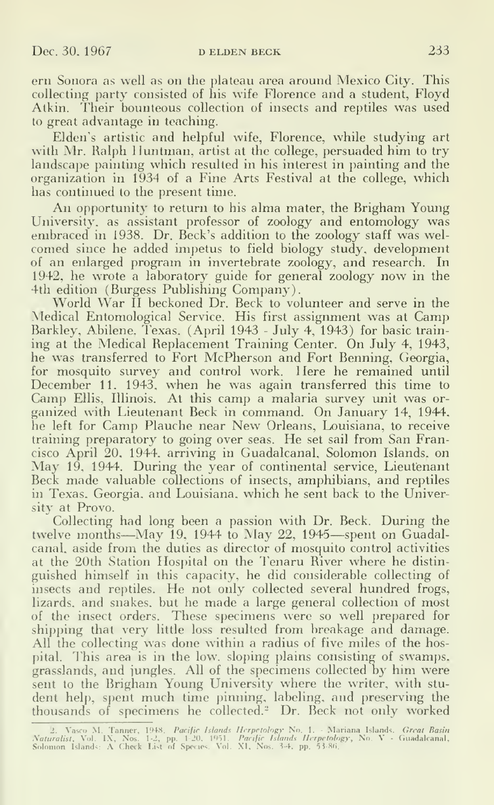ern Sonora as well as on the plateau area around Mexico City. This collecting party consisted of his wife Florence and a student, Floyd Atkin. Their bounteous collection of insects and reptiles was used to great advantage in teaching.

Elden's artistic and helpful wife, Florence, while studying art with Mr. Ralph Huntman, artist at the college, persuaded him to try landscape painting which resulted in his interest in painting and the organization in 1934 of a Fine Arts Festival at the college, which has continued to the present time.

An opportunity to return to his alma mater, the Brigham Young University, as assistant professor of zoology and entomology was embraced in 1938. Dr. Beck's addition to the zoology staff was welcomed since he added impetus to field biology study, development of an enlarged program in invertebrate zoology, and research. In 1942, he wrote a laboratory guide for general zoology now in the 4th edition (Burgess Publishing Company).

World War II beckoned Dr. Beck to volunteer and serve in the Medical Entomological Service. His first assignment was at Camp Barkley, Abilene. Texas, (April 1943 - July 4, 1943) for basic training at the Medical Replacement Training Center. On July 4, 1943, he was transferred to Fort McPherson and Fort Benning. Georgia, for mosquito survey and control work. Here he remained until December 11. 1943. when he was again transferred this time to Camp Ellis, Illinois. At this camp <sup>a</sup> malaria survey unit was or ganized with Lieutenant Beck in command. On January 14, 1944, he left for Camp Plauche near New Orleans, Louisiana, to receive training preparatory to going over seas. He set sail from San Francisco April 20, 1944, arriving in Guadalcanal, Solomon Islands, on May 19, 1944. During the year of continental service, Lieutenant Beck made valuable collections of insects, amphibians, and reptiles in Texas. Georgia, and Louisiana, which he sent back to the University at Provo.

Collecting had long been a passion with Dr. Beck. During the twelve months—May 19. <sup>1944</sup> to May 22, <sup>1945</sup>—spent on Guadalcanal, aside from the duties as director of mosquito control activities at the 20th Station Hospital on the J'enaru River where he distin guished himself in this capacity, he did considerable collecting of insects and reptiles. He not only collected several hundred frogs, lizards, and snakes, but he made <sup>a</sup> large general collection of most of the insect orders. These specimens were so well prepared for shipping that very little loss resulted from breakage and damage. All the collecting was done within a radius of five miles of the hospital. This area is in the low. sloping plains consisting of swamps, grasslands, and jungles. All of the specimens collected by him were sent to the Brigham Young University where the writer, with stu dent help, spent much time pinning, labeling, and preserving the thousands of specimens he collected. $^2$  Dr. Beck not only worked  $\hskip 4mm$ 

<sup>- 2.</sup> Vasco M. Tanner, 1948*, Pacific Islands Herpetology* No. 1. - Mariana Islands*, Great Basin*<br>*Naturalist, Vol. 1X, Nos. 1-2., pp. 1-20, 1951. Pacific Islands Herpetology, No. V - Guadalcanal,*<br>Solomon Islands: A Check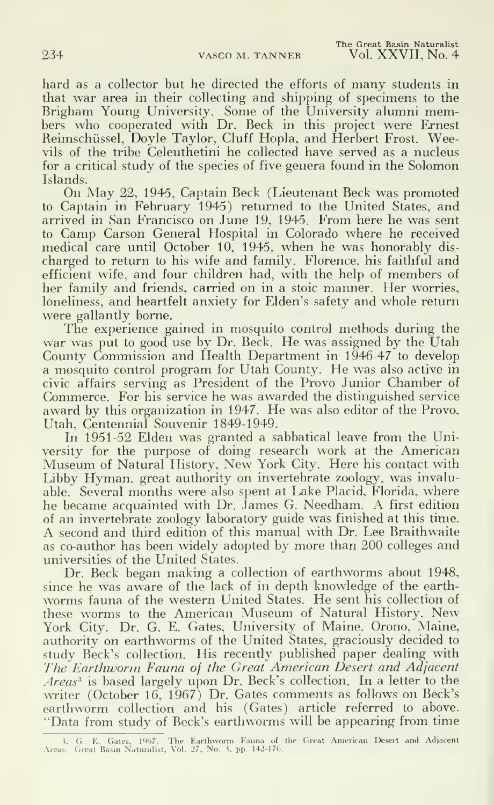hard as <sup>a</sup> collector but he directed the efforts of many students in that war area in their collecting and shipping of specimens to the Brigham Young University. Some of the University alumni members who cooperated with Dr. Beck in this project were Ernest Reimschiissel, Doyle Taylor, Cluff Hopla, and Herbert Frost. Weevils of the tribe Celeuthetini he collected have served as a nucleus for a critical study of the species of five genera found in the Solomon Islands.

On May 22, 1945, Captain Beck (Lieutenant Beck was promoted to Captain in February 1945) returned to the United States, and arrived in San Francisco on June 19, 1945. From here he was sent to Camp Carson General Hospital in Colorado where he received medical care until October 10, 1945, when he was honorably discharged to return to his wife and family. Florence, his faithful and efficient wife, and four children had, with the help of members of her family and friends, carried on in a stoic manner. Her worries, loneliness, and heartfelt anxiety for Elden's safety and whole return were gallantly borne.

The experience gained in mosquito control methods during the war was put to good use by Dr. Beck. He was assigned by the Utah County Commission and Health Department in 1946-47 to develop <sup>a</sup> mosquito control program for Utah County. He was also active in civic affairs serving as President of the Provo Junior Chamber of Commerce. For his service he was awarded the distinguished service award by this organization in 1947. He was also editor of the Provo, Utah, Centennial Souvenir 1849-1949.

In 1951-52 Elden was granted a sabbatical leave from the University for the purpose of doing research work at the American Museum of Natural History, New York City. Here his contact with Libby Hyman, great authority on invertebrate zoology, was invaluable. Several months were also spent at Lake Placid, Florida, where he became acquainted with Dr. James G. Needham. A first edition of an invertebrate zoology laboratory guide was finished at this time. A second and third edition of this manual with Dr. Lee Braithwaite as co-author has been widely adopted by more than 200 colleges and universities of the United States.

Dr. Beck began making a collection of earthworms about 1948, since he was aware of the lack of in depth knowledge of the earth worms fauna of the western United States. He sent his collection of these worms to the American Museum of Natural History, New York City. Dr. G. E. Gates, University of Maine, Orono, Maine, authority on earthworms of the United States, graciously decided to study Beck's collection. His recently published paper dealing with The Earthworm Fauna of the Great American Desert and Adjacent Areas<sup>3</sup> is based largely upon Dr. Beck's collection. In a letter to the writer (October 16, 1967) Dr. Gates comments as follows on Beck's earthworm collection and his (Gates) article referred to above. "Data from study of Beck's earthworms will be appearing from time

<sup>3.</sup> G. E. Gates, 1967. The Earthworm Fauna of the Great American Desert and Adjacent<br>Areas. Great Basin Naturalist, Vol. 27, No. 3, pp. 142-176.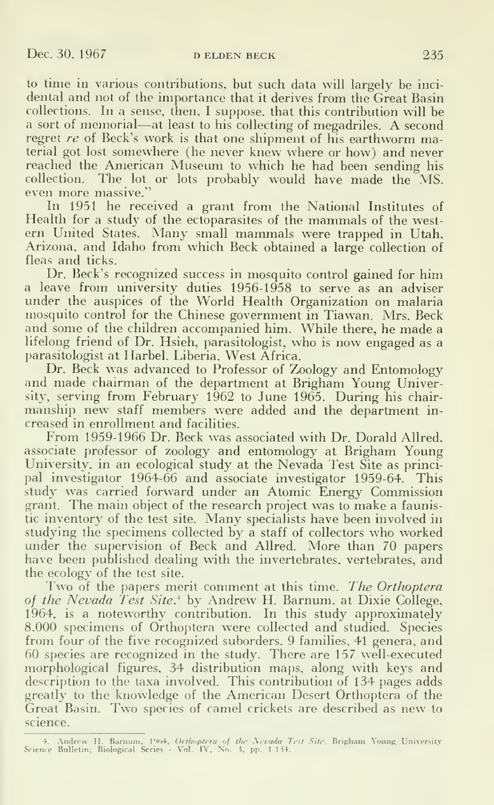to time in various contributions, but such data will largely be inci dental and not of the importance that it derives from the Great Basin collections. In a sense, then, <sup>I</sup> suppose, that this contribution will be <sup>a</sup> sort of memorial—at least to his collecting of megadriles. A second regret re of Beck's work is that one shipment of his earthworm material got lost somewhere (he never knew where or how) and never reached the American Museum to which he had been sending his collection. The lot or lots probably would have made the MS. even more massive."

In 1951 he received a grant from the National Institutes of Health for <sup>a</sup> study of the ectoparasites of the mammals of the west ern United States. Many small mammals were trapped in Utah, Arizona, and Idaho from which Beck obtained a large collection of fleas and ticks.

Dr. Beck's recognized success in mosquito control gained for him a leave from university duties 1956-1958 to serve as an adviser under the auspices of the World Health Organization on malaria mosquito control for the Chinese government in Tiawan. Mrs. Beck and some of the children accompanied him. While there, he made a lifelong friend of Dr. Hsieh, parasitologist, who is now engaged as a parasitologist at llarbel. Liberia. West Africa.

Dr. Beck was advanced to Professor of Zoology and Entomology and made chairman of the department at Brigham Young University, serving from February 1962 to June 1965. During his chairmanship new' staff members were added and the department in creased in enrollment and facilities.

From 1959-1966 Dr. Beck was associated with Dr. Dorald Allred. associate professor of zoology and entomology at Brigham Young University, in an ecological study at the Nevada Test Site as principal investigator 1964-66 and associate investigator 1959-64. This study was carried forward under an Atomic Energy Commission grant. The main object of the research project was to make a faunistic inventory of the test site. Many specialists have been involved in studying the specimens collected by <sup>a</sup> staff of collectors who worked under the supervision of Beck and Allred. More than 70 papers have been published dealing with the invertebrates, vertebrates, and

the ecology of the test site.<br>Two of the papers merit comment at this time. The Orthoptera of the Nevada Test Site,\* by Andrew H. Barnum, at Dixie College, 1964, is a noteworthy contribution. In this study approximately 8.000 specimens of Orthoptera were collected and studied. Species from four of the five recognized suborders. 9 families, 41 genera, and  $60$  species are recognized in the study. There are  $157$  well-executed morphological figures, 34 distribution maps, along with keys and description to the taxa involved. This contribution of 134 pages adds greatly to the knowledge of the American Desert Orthoptera of the Great Basin. Two species of camel crickets are described as new to science.

<sup>4.</sup> Andrew H. Barnum, 1964, Orthoptera of the Nevada Test Site. Brigham Young University<br>Science Bulletin; Biological Series - Vol. IV, No. 3, pp. 1-134.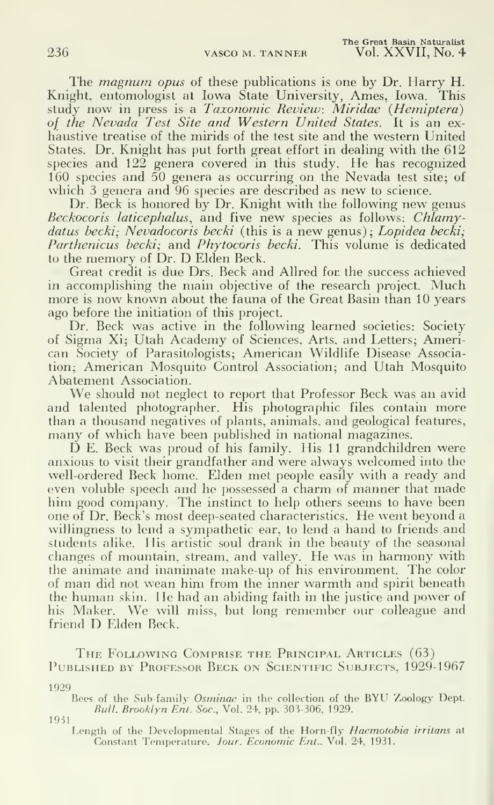The *magnum opus* of these publications is one by Dr. Harry H. Knight, entomologist at Iowa State University, Ames, Iowa. This study now in press is a Taxonomic Review: Miridae (Hemiptera) of the Nevada Test Site and Western United States. It is an exhaustive treatise of the mirids of the test site and the western United States. Dr. Knight has put forth great effort in deahng with the 612 species and 122 genera covered in this study. He has recognized 160 species and 50 genera as occurring on the Nevada test site; of which 3 genera and 96 species are described as new to science.

Dr. Beck is honored by Dr. Knight with the following new genus Beckocoris laticephalus, and five new species as follows: Chlamydatus becki; Nevadocoris becki (this is a new genus); Lopidea becki; Parthenicus becki; and Phytocoris becki. This volume is dedicated to the memory of Dr. D Elden Beck.

Great credit is due Drs. Beck and Allred for the success achieved in accomplishing the main objective of the research project. Much more is now known about the fauna of the Great Basin than 10 years ago before the initiation of this project.

Dr. Beck was active in the following learned societies: Society of Sigma Xi; Utah Academy of Sciences, Arts, and Letters; American Society of Parasitologists; American Wildlife Disease Association; American Mosquito Control Association; and Utah Mosquito Abatement Association.

We should not neglect to report that Professor Beck was an avid and talented photographer. His photographic files contain more than a thousand negatives of plants, animals, and geological features, many of which have been published in national magazines.

D E. Beck was proud of his family. His 11 grandchildren were anxious to visit their grandfather and were always welcomed into the well-ordered Beck home. Elden met people easily with a ready and even voluble speech and he possessed <sup>a</sup> charm of manner that made him good company. The instinct to help others seems to have been one of Dr. Beck's most deep-seated characteristics. He went beyond <sup>a</sup> willingness to lend a sympathetic ear, to lend a hand to friends and students alike. His artistic soul drank in the beauty of the seasonal changes of mountain, stream, and valley. He was in harmony with the animate and inanimate make-up of his environment. The color of man did not wean him from the inner warmth and spirit beneath the human skin. He had an abiding faith in the justice and power of his Maker. We will miss, but long remember our colleague and friend D Elden Beck.

The Following Comprise the Principal Articles (63) PUBLISHED BY PROFESSOR BECK ON SCIENTIFIC SUBJECTS, 1929-1967

1929

Bees of the Sub-family Osminae in the collection of the BYU Zoology Dept. Bull. Brooklyn Ent. Soc, Vol. 24. pp. 303-306, 1929.

1931

Length of the Developmental Stages of the Horn-fly Haemotobia irritans at Constant Temperature. Jour. Economic Ent., Vol. 24, 1931.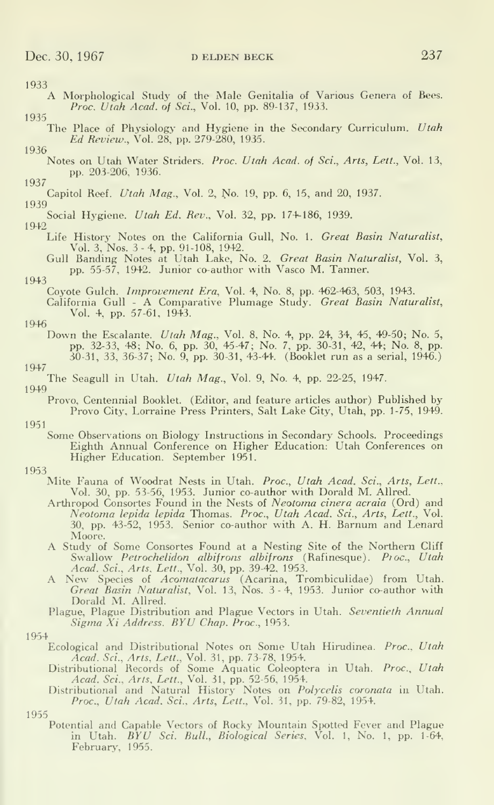- 1933<br>A Morphological Study of the Male Genitalia of Various Genera of Bees. Proc. Utah Acad. of Sci., Vol. 10, pp. 89-137, 1933. 1935
- The Place of Physiology and Hygiene in the Secondary Curriculum. Utah Ed Review., Vol. 28^ pp. 279-280, 1935. 1936
	- Notes on Utah Water Striders. Proc. Utah Acad, of Sci., Arts, Lett., Vol. 13, pp. 203-206, 1936.
- 1937 Capitol Reef. Utah Mag., Vol. 2, No. 19, pp. 6, 15, and 20, 1937.

- Social Hygiene. Utah Ed. Rev., Vol. 32, pp. 174-186, 1939. 1942
	- Life History Notes on the California Gull, No. 1. Great Basin Naturalist, Vol. 3, Nos. 3 - 4, pp. 91-108, 1942.
	- Gull Banding Notes at Utah Lake, No. 2. *Great Basin Naturalist*, Vol. 3, pp. 55-57, 1942. Junior co-author with Vasco M. Tanner.
- 1943

Coyote Gulch. Improvement Era, Vol. 4, No. 8, pp. 462-463, 503, 1943.

- California Gull A Comparative Plumage Study. Great Basin Naturalist, Vol. 4, pp. 57-61, 1943.
- 
- 1946<br>Down the Escalante. *Utah Mag*., Vol. 8, No. 4, pp. 24, 34, 45, 49-50; No. 5, pp. 32-33, 48; No. 6, pp. 30, 45-47; No. 7, pp. 30-31, 42, 44; No. 8, pp. 30-31, 33, 36-37; No. 9, pp. 30-31, 43-44. (Booklet run as a serial, 1946.)
- 1947
- The Seagull in Utah. Utah Mag., Vol. 9, No. 4, pp. 22-25, 1947.
- 1949

Provo, Centennial Booklet. (Exlitor, and feature articles author) Published by Provo City, Lorraine Press Printers, Salt Lake City, Utah, pp. 1-75, 1949.

- 1951
	- Some Observations on Biology Instructions in Secondary Schools. Proceedings Eighth Annual Conference on Higher Education: Utah Conferences on Higher Education. September 1951.
- 1953
	- Mite Fauna of Woodrat Nests in Utah. Proc., Utah Acad. Sci., Arts, Lett., Vol. 30, pp. 53-56, 1953. Junior co-author with Dorald M. Allred.
		- Arthropod Consortes Found in the Nests of Neotoma cinera acraia (Ord) and Neotoma lepida lepida Thomas. Proc, Utah Acad. Sci., Arts, Lett., Vol. 30, pp. 43-52, 1953. Senior co-author with A. H. Barnum and Lenard
		- A Study of Some Consortes Found at a Nesting Site of the Northern Cliff Swallow Petrochelidon albifrons albifrons (Rafinesque). Proc., Utah Acad. Sci., Arts, Lett., Vol. 30, pp. 39-42, 1953.
		- Acad. Sci., Arts. Lett., Vol. 30, pp. 39-42, 1953.<br>A New Species of *Acomatacarus* (Acarina, Trombiculidae) from Utah.<br>*Great Basin Naturalist*, Vol. 13, Nos. 3-4, 1953. Junior co-author with Dorald M. Allred.
		- Plague, Plague Distribution and Plague Vectors in Utah. Seventieth Annual Sigma Xi Address. BYU Chap. Proc., 1953.
- 1954
	- Ecological and Distributional Notes on Some Utah Hirudinea. Proc., Utah
	- Acad. Sci., Arts, Lett., Vol. 31, pp. 73-78, 1954. Distributional Records of Some Aquatic Coleoptera in Utah. Proc, Utah
	- Acad. Sci., Arts, Lett., Vol. 31, pp. 52-56, 1954.<br>Distributional and Natural History Notes on *Polycelis coronata* in Utah.<br>*Proc., Utah Acad. Sci., Arts, Lett.*, Vol. 31, pp. 79-82, 1954.

Potential and Capable Vectors of Rocky Mountain Spotted Fever and Plague in Utah. *BYU Sci. Bull., Biological Series*, Vol. 1, No. 1, pp. 1-64,<br>February, 1955.

<sup>1939</sup>

<sup>1955</sup>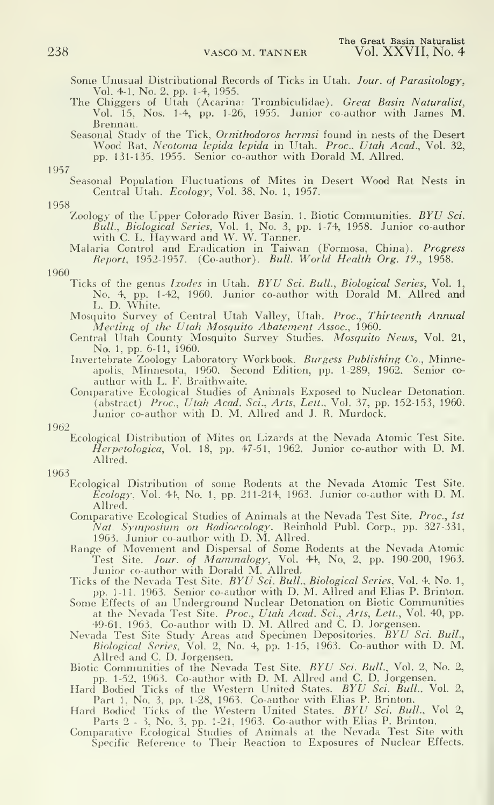Some Unusual Distributional Records of Ticks in Utah. Jour. of Parasitology,

- Vol. 4-1, No. 2, pp. 1-4, 1955.<br>The Chiggers of Utah (Acarina: Trombiculidae). *Great Basin Naturalist*, Vol. 15, Nos. 1-4, pp. 1-26, 1955. Junior co-author with James M. Brennan.<br>Seasonal Study of the Tick. *Ornithodoros hermsi* found in nests of the Desert
- Seasonal Study of the Tick, *Ornithodoros hermsi* found in nests of the Desert Wood Rat, *Neotoma lepida lepida* in Utah. *Proc., Utah Acad.*, Vol. 32, pp. 131-135, 1955. Senior co-author with Dorald M. Allred.

1957

Seasonal Population Fluctuations of Mites in Desert Wood Rat Nests in Central Utah. Ecology, Vol. 38, No. 1, 1957.

#### 1958

Zoology of the Upper Colorado River Basin. 1. Biotic Communities. BYU Sci. *Bull., Biological Series,* Vol. 1, No. 3, pp. 1-74, 1958. Junior co-author<br>with C. L. Hayward and W. W. Tanner.

Malaria Control and Eradication in Taiwan (Formosa, China). Progress Report, 1952-1957. (Co-author). Bull. World Health Org. 19., 1958.

## 1960

- Ticks of the genus Ixodes in Utah. BYU Sci. Bull., Biological Series, Vol. 1, No. 4, pp. 1-42, 1960. Junior co-author witli Dorald M. Allred and L. D. White.
- Mosquito Survey of Central Utah Valley, Utah. Proc, Thirteenth Annual Meeting of the Utah Mosquito Abatement Assoc, 1960.
- Central Utah County Mosquito Survey Studies. Mosquito News, Vol. 21, No. 1, pp. 6-11, 1960.
- Invertebrate Zoology Laboratory Workbook. *Burgess Publishing Co.*, Minneapolis, Minnesota, 1960. Second Edition, pp. 1-289, 1962. Senior co-<br>author with L. F. Braithwaite.
- Comparative Ecological Studies of Animals Exposed to Nuclear Detonation. (abstract) *Proc., Utah Acad. Sci., Arts, Lett.*, Vol. 37, pp. 152-153, 1960. Junior co-author with D. M. Allred and J. R. Murdock.

### 1962

Ecological Distribution of Mites on Lizards at the Nevada Atomic Test Site.  $Herpetological, Vol. 18, pp. 47-51, 1962.$  Junior co-author with D. M. Allred.

#### 1963

- Ecological Distribution of some Rodents at the Nevada Atomic Test Site. Ecology, Vol. 44, No. 1, pp. 211-214, 1963. Junior co-author with D. M. Allred.
- Comparative Ecological Studies of Animals at the Nevada Test Site. Proc, 1st Nat. Symposium on Radioecology. Reinhold Publ. Corp., pp. 327-331, 1963. Junior co-author with D. M. Allred.
- Range of Movement and Dispersal of Some Rodents at the Nevada Atomic Test Site. Jour, of Mammalogy, Vol. 44, No, 2, pp. 190-200, 1963.
- Junior co-author with Dorald M. Allred.<br>Ticks of the Nevada Test Site. *BYU Sci. Bull., Biological Series*, Vol. 4, No. 1, pp. 1-11, 1963. Senior co-author with D. M. Allred and Elias P. Brinton. Some Effects of an Underground Nuclear Detonation on Biotic Communities
- at the Nevada Test Site. *Proc., Utah Acad. Sci., Arts, Lett.*, Vol. 40, pp. 49-61. 1963. Co-author with D. M. Allred and C. D. Jorgensen.<br>Nevada Test Site Study Areas and Specimen Depositories. *BYU Sci. Bull.*,
- Biological Series, Vol. 2, No. 4, pp. 1-15, 1963. Co-author with D. M.
- Biotic Communities of the Nevada Test Site. BYU Sci. Bull., Vol. 2, No. 2,
- pp. 1-52, 1963. Co-author with D. M. Allred and C. D. Jorgensen.<br>Hard Bodied Ticks of the Western United States. *BYU Sci. Bull.*, Vol. 2,
- Part 1, No. 3, pp. 1-28, 1963. Co-author with Elias P. Brinton.<br>Hard Bodied Ticks of the Western United States. *BYU Sci. Bull.*, Vol 2, Parts 2 - 3, No. 3. pp. 1-21, 1963. Co-author with Elias P. Brinton.
- Comparative Ecological Studies of Animals at the Nevada Test Site with Specific Reference to Their Reaction to Exposures of Nuclear Effects.